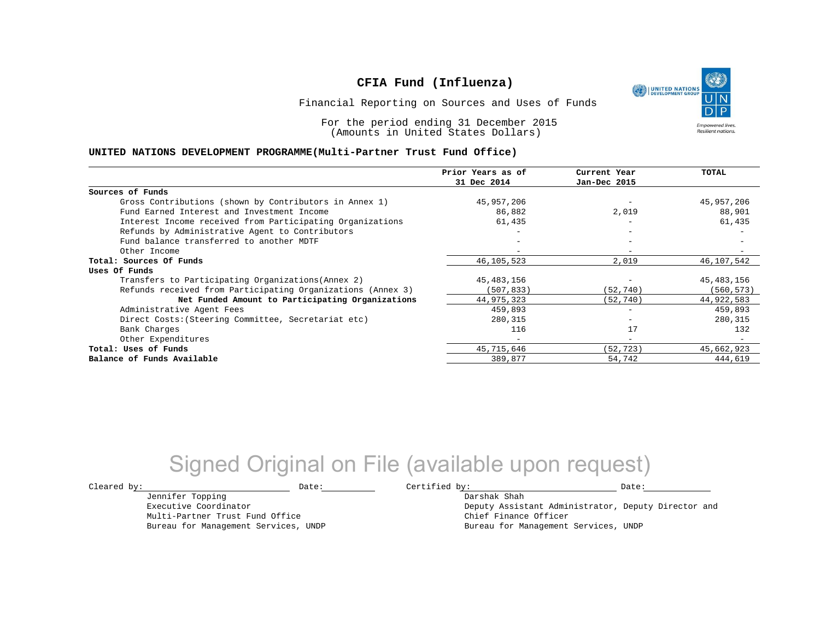UNITED NATIONS **Empowered lives Resilient nations.** 

Financial Reporting on Sources and Uses of Funds

For the period ending 31 December 2015 (Amounts in United States Dollars)

#### **UNITED NATIONS DEVELOPMENT PROGRAMME(Multi-Partner Trust Fund Office)**

|                                                             | Prior Years as of            | Current Year             | TOTAL        |
|-------------------------------------------------------------|------------------------------|--------------------------|--------------|
|                                                             | 31 Dec 2014                  | Jan-Dec 2015             |              |
| Sources of Funds                                            |                              |                          |              |
| Gross Contributions (shown by Contributors in Annex 1)      | 45,957,206                   |                          | 45,957,206   |
| Fund Earned Interest and Investment Income                  | 86,882                       | 2,019                    | 88,901       |
| Interest Income received from Participating Organizations   | 61,435                       |                          | 61,435       |
| Refunds by Administrative Agent to Contributors             |                              |                          |              |
| Fund balance transferred to another MDTF                    |                              |                          |              |
| Other Income                                                |                              | $\overline{\phantom{m}}$ |              |
| Total: Sources Of Funds                                     | 46, 105, 523                 | 2,019                    | 46,107,542   |
| Uses Of Funds                                               |                              |                          |              |
| Transfers to Participating Organizations (Annex 2)          | 45, 483, 156                 |                          | 45, 483, 156 |
| Refunds received from Participating Organizations (Annex 3) | (507, 833)                   | (52, 740)                | (560, 573)   |
| Net Funded Amount to Participating Organizations            | 44,975,323                   | (52, 740)                | 44,922,583   |
| Administrative Agent Fees                                   | 459,893                      | $\overline{\phantom{m}}$ | 459,893      |
| Direct Costs: (Steering Committee, Secretariat etc)         | 280,315                      |                          | 280,315      |
| Bank Charges                                                | 116                          | 17                       | 132          |
| Other Expenditures                                          | $\qquad \qquad \blacksquare$ | $\overline{\phantom{0}}$ |              |
| Total: Uses of Funds                                        | 45, 715, 646                 | (52, 723)                | 45,662,923   |
| Balance of Funds Available                                  | 389,877                      | 54,742                   | 444,619      |

# Signed Original on File (available upon request)

Jennifer Topping Executive Coordinator

Multi-Partner Trust Fund Office Bureau for Management Services, UNDP

 $\texttt{Cleared by:}\footnotesize \begin{minipage}{14pt} \begin{tabular}{p{0.87\textwidth}p{0.87\textwidth}} \centering \end{tabular} \end{minipage}$ 

Darshak Shah Deputy Assistant Administrator, Deputy Director and Chief Finance Officer Bureau for Management Services, UNDP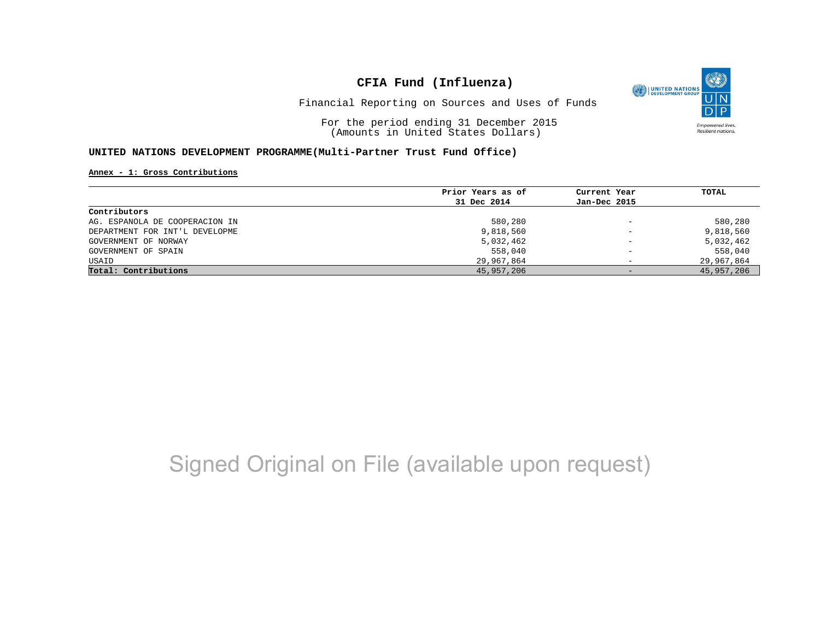

Financial Reporting on Sources and Uses of Funds

For the period ending 31 December 2015 (Amounts in United States Dollars)

### **UNITED NATIONS DEVELOPMENT PROGRAMME(Multi-Partner Trust Fund Office)**

#### **Annex - 1: Gross Contributions**

|                                | Prior Years as of | Current Year             | TOTAL      |
|--------------------------------|-------------------|--------------------------|------------|
|                                | 31 Dec 2014       | Jan-Dec 2015             |            |
| Contributors                   |                   |                          |            |
| AG. ESPANOLA DE COOPERACION IN | 580,280           | $\qquad \qquad -$        | 580,280    |
| DEPARTMENT FOR INT'L DEVELOPME | 9,818,560         | $\qquad \qquad -$        | 9,818,560  |
| GOVERNMENT OF NORWAY           | 5,032,462         | $\qquad \qquad -$        | 5,032,462  |
| GOVERNMENT OF SPAIN            | 558,040           | $\overline{\phantom{0}}$ | 558,040    |
| USAID                          | 29,967,864        | -                        | 29,967,864 |
| Total: Contributions           | 45,957,206        | $-$                      | 45,957,206 |

# Signed Original on File (available upon request)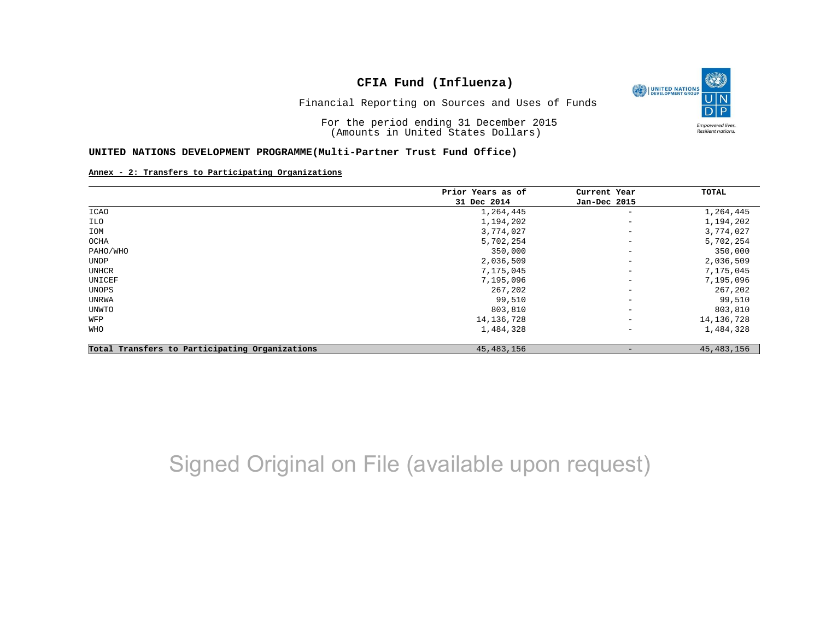

Financial Reporting on Sources and Uses of Funds

For the period ending 31 December 2015 (Amounts in United States Dollars)

#### **UNITED NATIONS DEVELOPMENT PROGRAMME(Multi-Partner Trust Fund Office)**

### **Annex - 2: Transfers to Participating Organizations**

|                                                | Prior Years as of | Current Year             | TOTAL        |
|------------------------------------------------|-------------------|--------------------------|--------------|
|                                                | 31 Dec 2014       | Jan-Dec 2015             |              |
| <b>ICAO</b>                                    | 1,264,445         | $\overline{\phantom{m}}$ | 1,264,445    |
| ILO                                            | 1,194,202         | $\qquad \qquad -$        | 1,194,202    |
| IOM                                            | 3,774,027         | $\overline{\phantom{m}}$ | 3,774,027    |
| OCHA                                           | 5,702,254         | $\qquad \qquad -$        | 5,702,254    |
| PAHO/WHO                                       | 350,000           | $\qquad \qquad -$        | 350,000      |
| UNDP                                           | 2,036,509         | $\qquad \qquad -$        | 2,036,509    |
| UNHCR                                          | 7,175,045         | $\qquad \qquad -$        | 7,175,045    |
| UNICEF                                         | 7,195,096         | $\qquad \qquad -$        | 7,195,096    |
| UNOPS                                          | 267,202           | $\qquad \qquad -$        | 267,202      |
| UNRWA                                          | 99,510            | $\qquad \qquad -$        | 99,510       |
| UNWTO                                          | 803,810           | $\overline{\phantom{a}}$ | 803,810      |
| WFP                                            | 14, 136, 728      | $\qquad \qquad -$        | 14, 136, 728 |
| WHO                                            | 1,484,328         | $\overline{\phantom{a}}$ | 1,484,328    |
| Total Transfers to Participating Organizations | 45, 483, 156      | $\qquad \qquad -$        | 45, 483, 156 |

# Signed Original on File (available upon request)